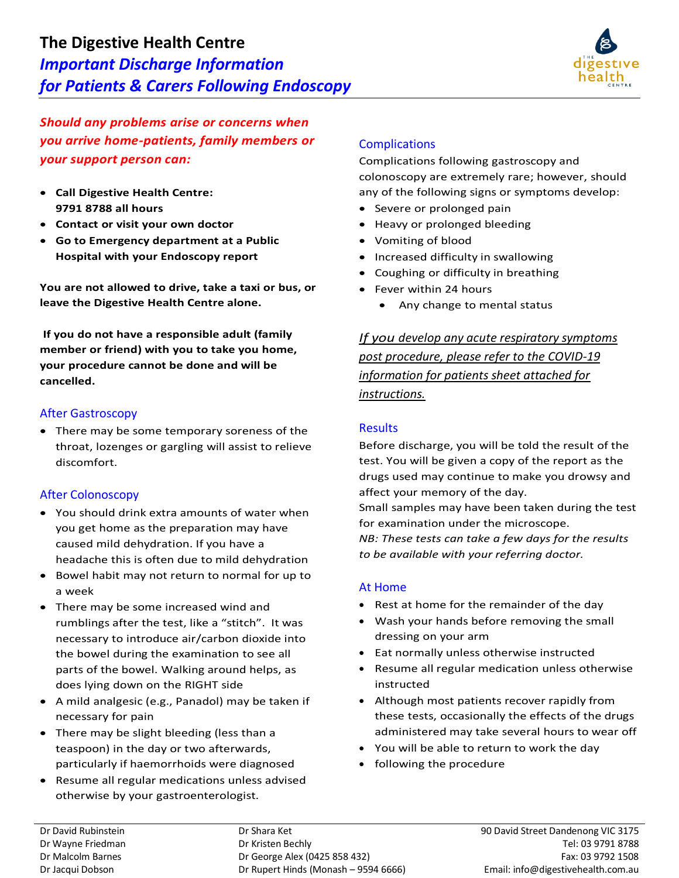

*Should any problems arise or concerns when you arrive home-patients, family members or your support person can:*

- **Call Digestive Health Centre: 9791 8788 all hours**
- **Contact or visit your own doctor**
- **Go to Emergency department at a Public Hospital with your Endoscopy report**

**You are not allowed to drive, take a taxi or bus, or leave the Digestive Health Centre alone.**

**If you do not have a responsible adult (family member or friend) with you to take you home, your procedure cannot be done and will be cancelled.**

### After Gastroscopy

• There may be some temporary soreness of the throat, lozenges or gargling will assist to relieve discomfort.

### After Colonoscopy

- You should drink extra amounts of water when you get home as the preparation may have caused mild dehydration. If you have a headache this is often due to mild dehydration
- Bowel habit may not return to normal for up to a week
- There may be some increased wind and rumblings after the test, like a "stitch". It was necessary to introduce air/carbon dioxide into the bowel during the examination to see all parts of the bowel. Walking around helps, as does lying down on the RIGHT side
- A mild analgesic (e.g., Panadol) may be taken if necessary for pain
- There may be slight bleeding (less than a teaspoon) in the day or two afterwards, particularly if haemorrhoids were diagnosed
- Resume all regular medications unless advised otherwise by your gastroenterologist.

## **Complications**

Complications following gastroscopy and colonoscopy are extremely rare; however, should any of the following signs or symptoms develop:

- Severe or prolonged pain
- Heavy or prolonged bleeding
- Vomiting of blood
- Increased difficulty in swallowing
- Coughing or difficulty in breathing
- Fever within 24 hours
	- Any change to mental status

*If you develop any acute respiratory symptoms post procedure, please refer to the COVID-19 information for patients sheet attached for instructions.*

### **Results**

Before discharge, you will be told the result of the test. You will be given a copy of the report as the drugs used may continue to make you drowsy and affect your memory of the day.

Small samples may have been taken during the test for examination under the microscope. *NB: These tests can take a few days for the results* 

*to be available with your referring doctor.*

### At Home

- Rest at home for the remainder of the day
- Wash your hands before removing the small dressing on your arm
- Eat normally unless otherwise instructed
- Resume all regular medication unless otherwise instructed
- Although most patients recover rapidly from these tests, occasionally the effects of the drugs administered may take several hours to wear off
- You will be able to return to work the day
- following the procedure